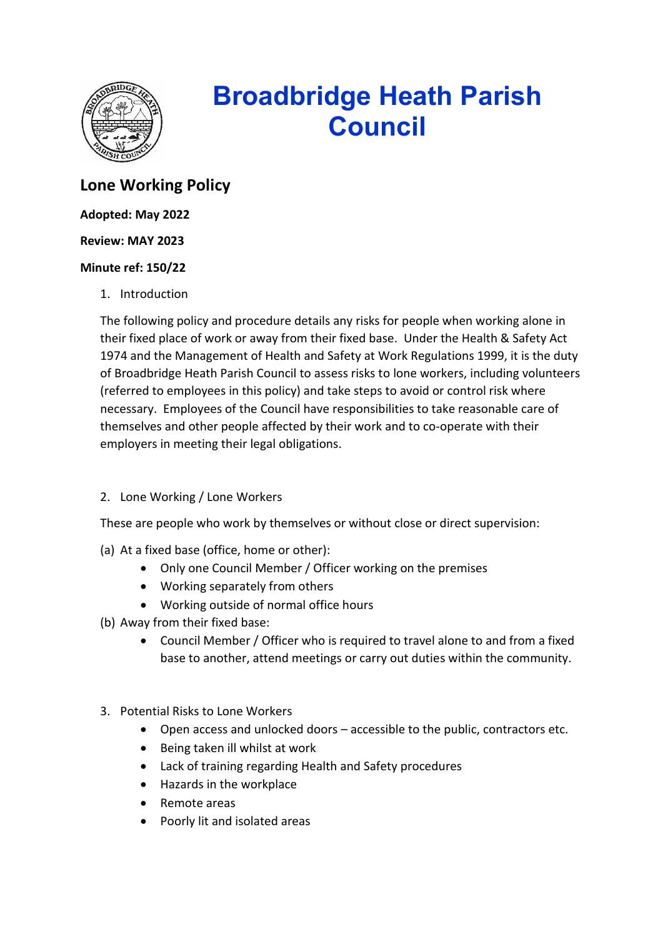

# **Broadbridge Heath Parish Council**

## **Lone Working Policy**

#### **Adopted: May 2022**

#### **Review: MAY 2023**

#### **Minute ref: 150/22**

1. Introduction

The following policy and procedure details any risks for people when working alone in their fixed place of work or away from their fixed base. Under the Health & Safety Act 1974 and the Management of Health and Safety at Work Regulations 1999, it is the duty of Broadbridge Heath Parish Council to assess risks to lone workers, including volunteers (referred to employees in this policy) and take steps to avoid or control risk where necessary. Employees of the Council have responsibilities to take reasonable care of themselves and other people affected by their work and to co-operate with their employers in meeting their legal obligations.

### 2. Lone Working / Lone Workers

These are people who work by themselves or without close or direct supervision:

- (a) At a fixed base (office, home or other):
	- Only one Council Member / Officer working on the premises
	- Working separately from others
	- Working outside of normal office hours
- (b) Away from their fixed base:
	- Council Member / Officer who is required to travel alone to and from a fixed base to another, attend meetings or carry out duties within the community.
- 3. Potential Risks to Lone Workers
	- Open access and unlocked doors accessible to the public, contractors etc.
	- Being taken ill whilst at work
	- Lack of training regarding Health and Safety procedures
	- Hazards in the workplace
	- Remote areas
	- Poorly lit and isolated areas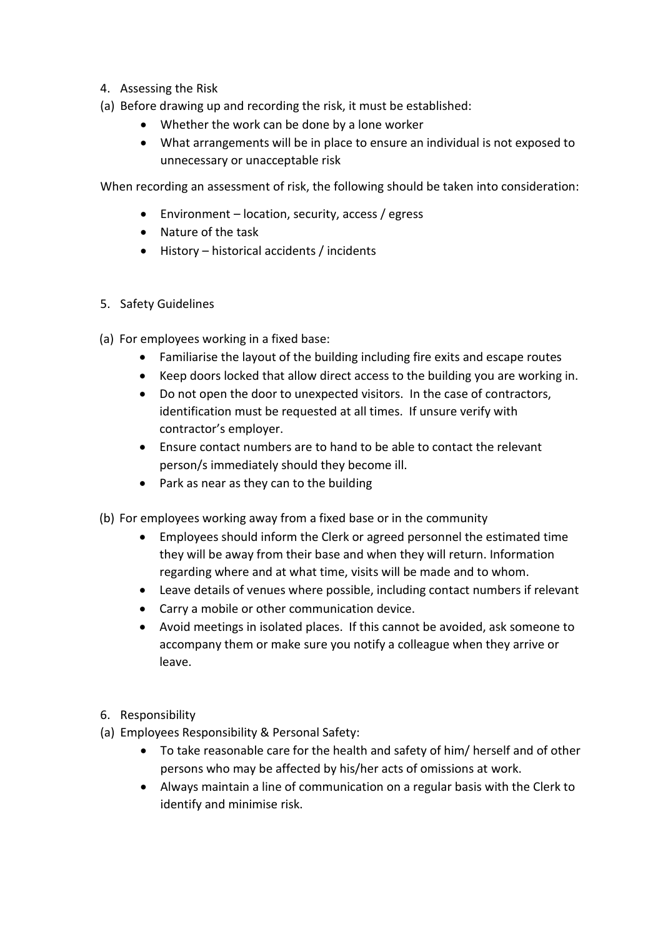- 4. Assessing the Risk
- (a) Before drawing up and recording the risk, it must be established:
	- Whether the work can be done by a lone worker
	- What arrangements will be in place to ensure an individual is not exposed to unnecessary or unacceptable risk

When recording an assessment of risk, the following should be taken into consideration:

- Environment location, security, access / egress
- Nature of the task
- History historical accidents / incidents
- 5. Safety Guidelines
- (a) For employees working in a fixed base:
	- Familiarise the layout of the building including fire exits and escape routes
	- Keep doors locked that allow direct access to the building you are working in.
	- Do not open the door to unexpected visitors. In the case of contractors, identification must be requested at all times. If unsure verify with contractor's employer.
	- Ensure contact numbers are to hand to be able to contact the relevant person/s immediately should they become ill.
	- Park as near as they can to the building
- (b) For employees working away from a fixed base or in the community
	- Employees should inform the Clerk or agreed personnel the estimated time they will be away from their base and when they will return. Information regarding where and at what time, visits will be made and to whom.
	- Leave details of venues where possible, including contact numbers if relevant
	- Carry a mobile or other communication device.
	- Avoid meetings in isolated places. If this cannot be avoided, ask someone to accompany them or make sure you notify a colleague when they arrive or leave.
- 6. Responsibility
- (a) Employees Responsibility & Personal Safety:
	- To take reasonable care for the health and safety of him/ herself and of other persons who may be affected by his/her acts of omissions at work.
	- Always maintain a line of communication on a regular basis with the Clerk to identify and minimise risk.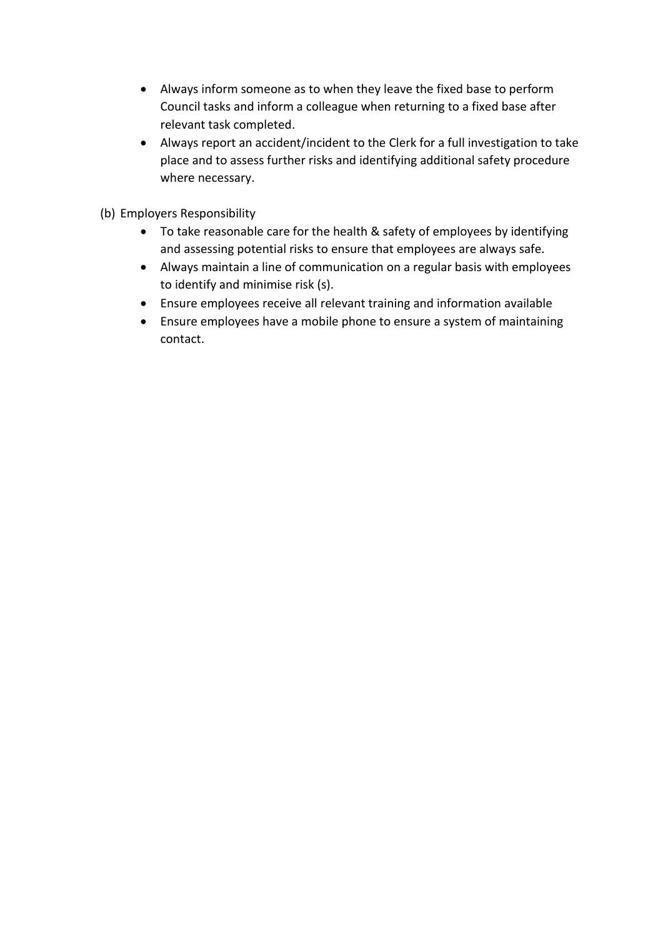- Always inform someone as to when they leave the fixed base to perform Council tasks and inform a colleague when returning to a fixed base after relevant task completed.
- Always report an accident/incident to the Clerk for a full investigation to take place and to assess further risks and identifying additional safety procedure where necessary.
- (b) Employers Responsibility
	- To take reasonable care for the health & safety of employees by identifying and assessing potential risks to ensure that employees are always safe.
	- Always maintain a line of communication on a regular basis with employees to identify and minimise risk (s).
	- Ensure employees receive all relevant training and information available
	- Ensure employees have a mobile phone to ensure a system of maintaining contact.